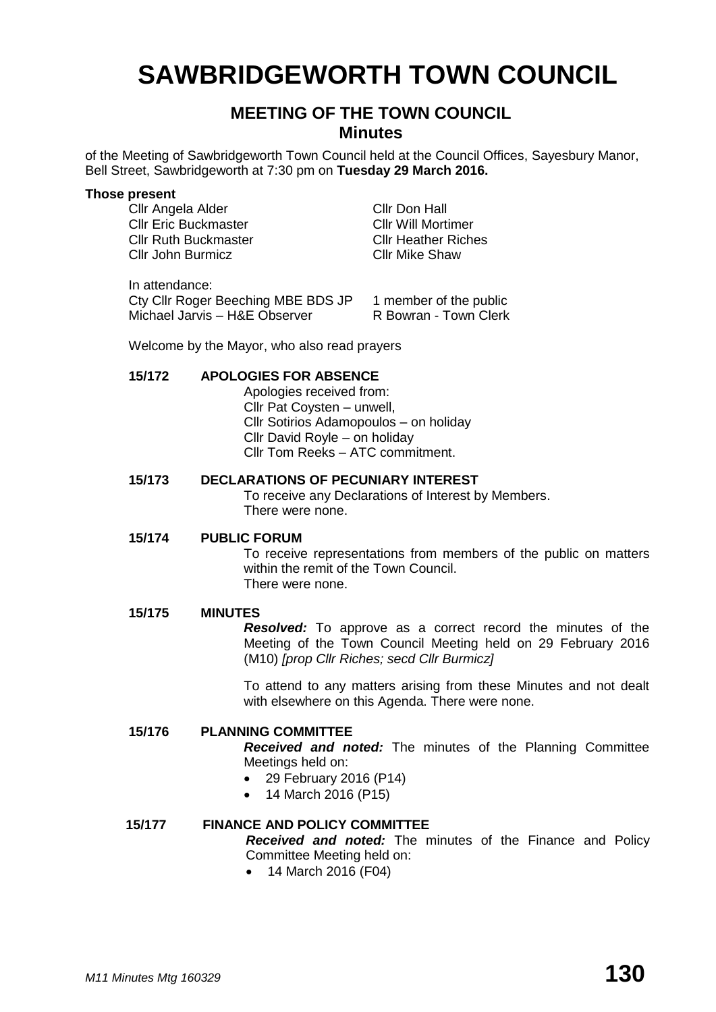# **SAWBRIDGEWORTH TOWN COUNCIL**

# **MEETING OF THE TOWN COUNCIL Minutes**

of the Meeting of Sawbridgeworth Town Council held at the Council Offices, Sayesbury Manor, Bell Street, Sawbridgeworth at 7:30 pm on **Tuesday 29 March 2016.**

#### **Those present**

Cllr Angela Alder Cllr Don Hall **Cllr Eric Buckmaster** Cllr Will Mortimer<br>
Cllr Ruth Buckmaster Cllr Heather Riches Cllr Ruth Buckmaster Cllr John Burmicz Cllr Mike Shaw

In attendance: Cty Cllr Roger Beeching MBE BDS JP 1 member of the public<br>Michael Jarvis – H&F Observer R Bowran - Town Clerk  $Michael$  Jarvis – H&F Observer

Welcome by the Mayor, who also read prayers

#### **15/172 APOLOGIES FOR ABSENCE**

Apologies received from: Cllr Pat Coysten – unwell, Cllr Sotirios Adamopoulos – on holiday Cllr David Royle – on holiday Cllr Tom Reeks – ATC commitment.

#### **15/173 DECLARATIONS OF PECUNIARY INTEREST**

To receive any Declarations of Interest by Members. There were none.

#### **15/174 PUBLIC FORUM**

To receive representations from members of the public on matters within the remit of the Town Council. There were none.

#### **15/175 MINUTES**

*Resolved:* To approve as a correct record the minutes of the Meeting of the Town Council Meeting held on 29 February 2016 (M10) *[prop Cllr Riches; secd Cllr Burmicz]*

To attend to any matters arising from these Minutes and not dealt with elsewhere on this Agenda. There were none.

#### **15/176 PLANNING COMMITTEE**

*Received and noted:* The minutes of the Planning Committee Meetings held on:

- 29 February 2016 (P14)
- 14 March 2016 (P15)

#### **15/177 FINANCE AND POLICY COMMITTEE**

*Received and noted:* The minutes of the Finance and Policy Committee Meeting held on:

• 14 March 2016 (F04)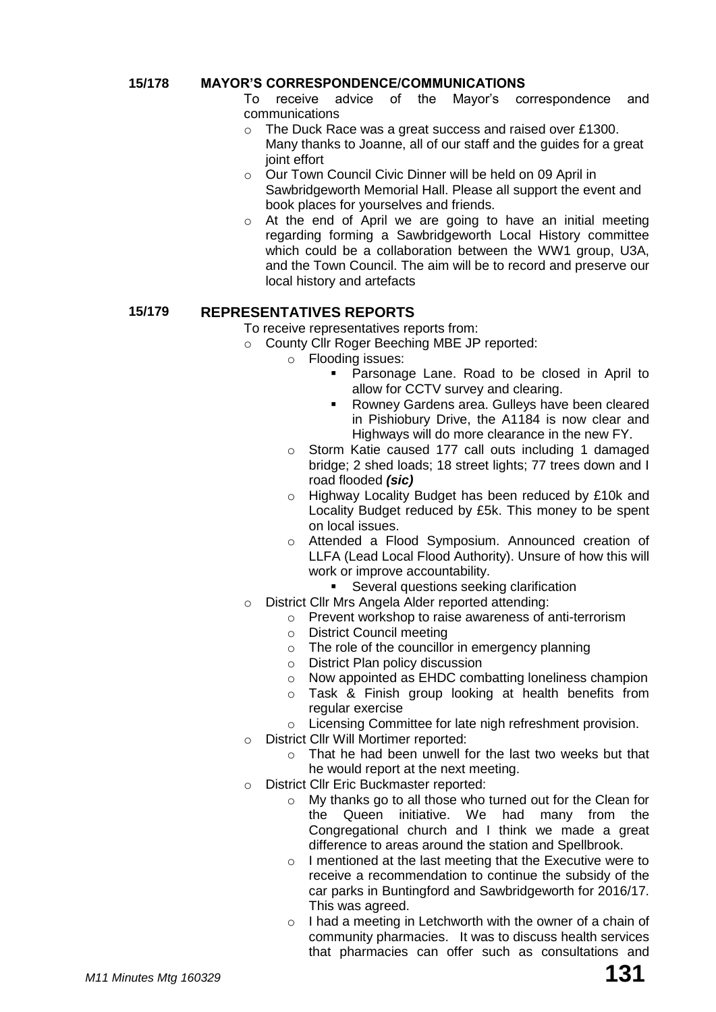#### **15/178 MAYOR'S CORRESPONDENCE/COMMUNICATIONS**

To receive advice of the Mayor's correspondence and communications

- o The Duck Race was a great success and raised over £1300. Many thanks to Joanne, all of our staff and the guides for a great joint effort
- o Our Town Council Civic Dinner will be held on 09 April in Sawbridgeworth Memorial Hall. Please all support the event and book places for yourselves and friends.
- o At the end of April we are going to have an initial meeting regarding forming a Sawbridgeworth Local History committee which could be a collaboration between the WW1 group, U3A, and the Town Council. The aim will be to record and preserve our local history and artefacts

# **15/179 REPRESENTATIVES REPORTS**

To receive representatives reports from:

- o County Cllr Roger Beeching MBE JP reported:
	- o Flooding issues:
		- **Parsonage Lane. Road to be closed in April to** allow for CCTV survey and clearing.
		- **Rowney Gardens area. Gulleys have been cleared** in Pishiobury Drive, the A1184 is now clear and Highways will do more clearance in the new FY.
	- o Storm Katie caused 177 call outs including 1 damaged bridge; 2 shed loads; 18 street lights; 77 trees down and I road flooded *(sic)*
	- o Highway Locality Budget has been reduced by £10k and Locality Budget reduced by £5k. This money to be spent on local issues.
	- o Attended a Flood Symposium. Announced creation of LLFA (Lead Local Flood Authority). Unsure of how this will work or improve accountability.
		- Several questions seeking clarification
- o District Cllr Mrs Angela Alder reported attending:
	- o Prevent workshop to raise awareness of anti-terrorism
	- o District Council meeting
	- o The role of the councillor in emergency planning
	- o District Plan policy discussion
	- o Now appointed as EHDC combatting loneliness champion
	- o Task & Finish group looking at health benefits from regular exercise
	- o Licensing Committee for late nigh refreshment provision.
- o District Cllr Will Mortimer reported:
	- o That he had been unwell for the last two weeks but that he would report at the next meeting.
- o District Cllr Eric Buckmaster reported:
	- o My thanks go to all those who turned out for the Clean for the Queen initiative. We had many from the Congregational church and I think we made a great difference to areas around the station and Spellbrook.
	- o I mentioned at the last meeting that the Executive were to receive a recommendation to continue the subsidy of the car parks in Buntingford and Sawbridgeworth for 2016/17. This was agreed.
	- $\circ$  I had a meeting in Letchworth with the owner of a chain of community pharmacies. It was to discuss health services that pharmacies can offer such as consultations and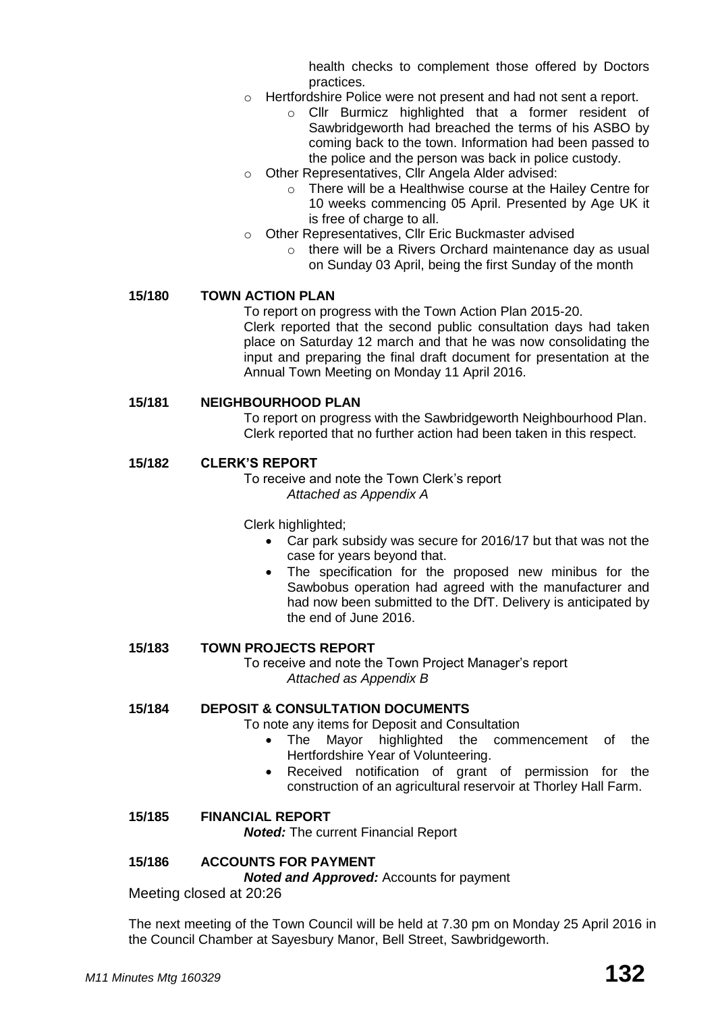health checks to complement those offered by Doctors practices.

- o Hertfordshire Police were not present and had not sent a report.
	- o Cllr Burmicz highlighted that a former resident of Sawbridgeworth had breached the terms of his ASBO by coming back to the town. Information had been passed to the police and the person was back in police custody.
- o Other Representatives, Cllr Angela Alder advised:
	- o There will be a Healthwise course at the Hailey Centre for 10 weeks commencing 05 April. Presented by Age UK it is free of charge to all.
- o Other Representatives, Cllr Eric Buckmaster advised
	- o there will be a Rivers Orchard maintenance day as usual on Sunday 03 April, being the first Sunday of the month

#### **15/180 TOWN ACTION PLAN**

To report on progress with the Town Action Plan 2015-20. Clerk reported that the second public consultation days had taken place on Saturday 12 march and that he was now consolidating the input and preparing the final draft document for presentation at the Annual Town Meeting on Monday 11 April 2016.

#### **15/181 NEIGHBOURHOOD PLAN**

To report on progress with the Sawbridgeworth Neighbourhood Plan. Clerk reported that no further action had been taken in this respect.

#### **15/182 CLERK'S REPORT**

To receive and note the Town Clerk's report *Attached as Appendix A*

Clerk highlighted;

- Car park subsidy was secure for 2016/17 but that was not the case for years beyond that.
- The specification for the proposed new minibus for the Sawbobus operation had agreed with the manufacturer and had now been submitted to the DfT. Delivery is anticipated by the end of June 2016.

#### **15/183 TOWN PROJECTS REPORT**

To receive and note the Town Project Manager's report *Attached as Appendix B*

# **15/184 DEPOSIT & CONSULTATION DOCUMENTS**

To note any items for Deposit and Consultation

- The Mayor highlighted the commencement of the Hertfordshire Year of Volunteering.
- Received notification of grant of permission for the construction of an agricultural reservoir at Thorley Hall Farm.

#### **15/185 FINANCIAL REPORT**

*Noted:* The current Financial Report

#### **15/186 ACCOUNTS FOR PAYMENT**

*Noted and Approved:* Accounts for payment

Meeting closed at 20:26

The next meeting of the Town Council will be held at 7.30 pm on Monday 25 April 2016 in the Council Chamber at Sayesbury Manor, Bell Street, Sawbridgeworth.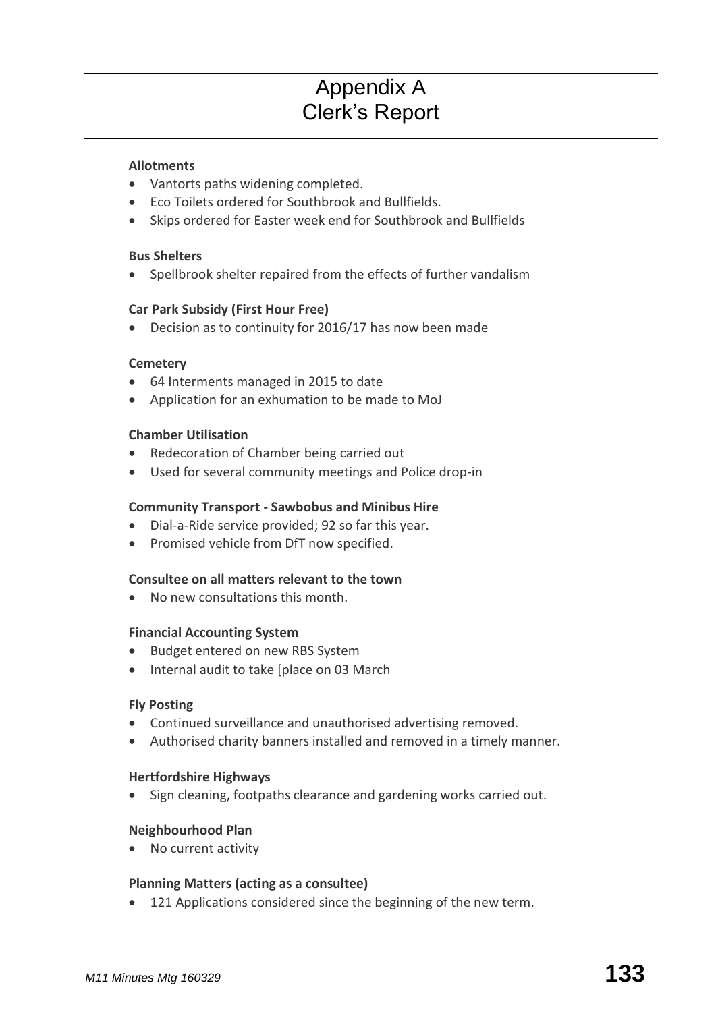# Appendix A Clerk's Report

#### **[Allotments](http://www.sawbridgeworth-tc.gov.uk/town-information/town-council-services/allotments)**

- Vantorts paths widening completed.
- Eco Toilets ordered for Southbrook and Bullfields.
- Skips ordered for Easter week end for Southbrook and Bullfields

#### **Bus Shelters**

Spellbrook shelter repaired from the effects of further vandalism

#### **Car Park Subsidy (First Hour Free)**

Decision as to continuity for 2016/17 has now been made

#### **[Cemetery](http://www.sawbridgeworth-tc.gov.uk/town-information/town-council-services/cemetery)**

- 64 Interments managed in 2015 to date
- Application for an exhumation to be made to MoJ

#### **Chamber Utilisation**

- Redecoration of Chamber being carried out
- Used for several community meetings and Police drop-in

#### **Community Transport - [Sawbobus](http://www.sawbridgeworth-tc.gov.uk/town-information/town-council-services/sawbobus) an[d Minibus Hire](http://www.sawbridgeworth-tc.gov.uk/town-information/town-council-services/minibus-hire)**

- Dial-a-Ride service provided; 92 so far this year.
- Promised vehicle from DfT now specified.

#### **Consultee on all matters relevant to the town**

No new consultations this month.

#### **Financial Accounting System**

- Budget entered on new RBS System
- Internal audit to take [place on 03 March

#### **Fly Posting**

- Continued surveillance and unauthorised advertising removed.
- Authorised charity banners installed and removed in a timely manner.

#### **Hertfordshire Highways**

• Sign cleaning, footpaths clearance and gardening works carried out.

#### **Neighbourhood Plan**

• No current activity

#### **Planning Matters [\(acting as a consultee\)](http://www.sawbridgeworth-tc.gov.uk/town-council/planning)**

121 Applications considered since the beginning of the new term.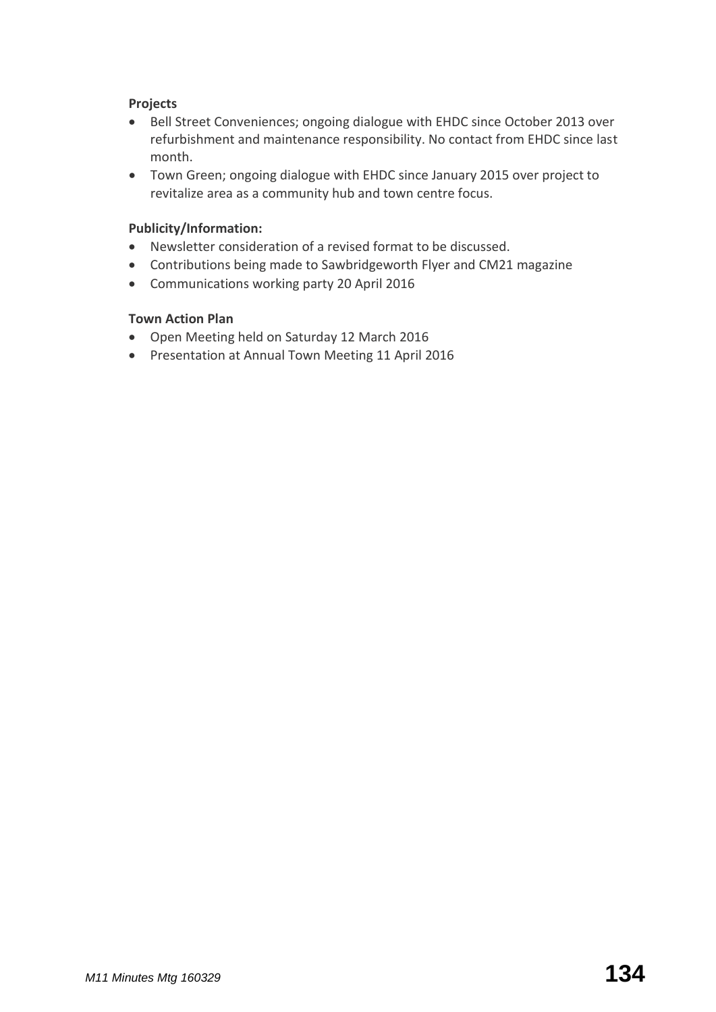# **Projects**

- Bell Street Conveniences; ongoing dialogue with EHDC since October 2013 over refurbishment and maintenance responsibility. No contact from EHDC since last month.
- Town Green; ongoing dialogue with EHDC since January 2015 over project to revitalize area as a community hub and town centre focus.

### **Publicity/Information:**

- Newsletter consideration of a revised format to be discussed.
- Contributions being made to Sawbridgeworth Flyer and CM21 magazine
- Communications working party 20 April 2016

#### **Town Action Plan**

- Open Meeting held on Saturday 12 March 2016
- Presentation at Annual Town Meeting 11 April 2016